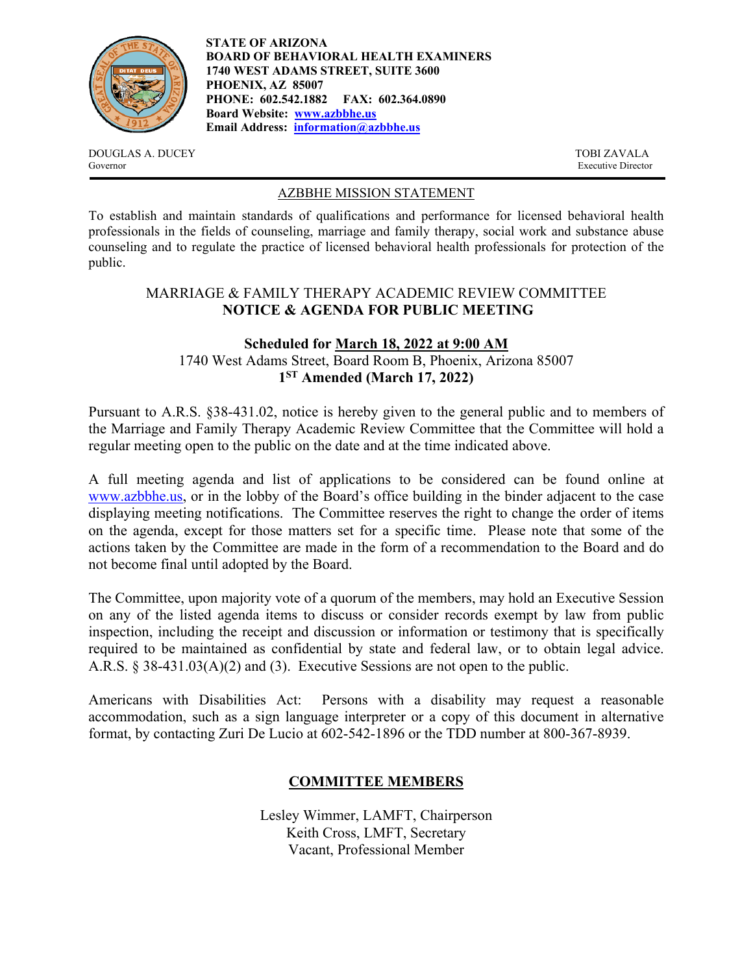

**STATE OF ARIZONA BOARD OF BEHAVIORAL HEALTH EXAMINERS 1740 WEST ADAMS STREET, SUITE 3600 PHOENIX, AZ 85007 PHONE: 602.542.1882 FAX: 602.364.0890 Board Website: www.azbbhe.us Email Address: information@azbbhe.us**

DOUGLAS A. DUCEY TOBI ZAVALA Governor Executive Director

### AZBBHE MISSION STATEMENT

To establish and maintain standards of qualifications and performance for licensed behavioral health professionals in the fields of counseling, marriage and family therapy, social work and substance abuse counseling and to regulate the practice of licensed behavioral health professionals for protection of the public.

## MARRIAGE & FAMILY THERAPY ACADEMIC REVIEW COMMITTEE **NOTICE & AGENDA FOR PUBLIC MEETING**

# **Scheduled for March 18, 2022 at 9:00 AM**  1740 West Adams Street, Board Room B, Phoenix, Arizona 85007 **1ST Amended (March 17, 2022)**

Pursuant to A.R.S. §38-431.02, notice is hereby given to the general public and to members of the Marriage and Family Therapy Academic Review Committee that the Committee will hold a regular meeting open to the public on the date and at the time indicated above.

A full meeting agenda and list of applications to be considered can be found online at www.azbbhe.us, or in the lobby of the Board's office building in the binder adjacent to the case displaying meeting notifications. The Committee reserves the right to change the order of items on the agenda, except for those matters set for a specific time. Please note that some of the actions taken by the Committee are made in the form of a recommendation to the Board and do not become final until adopted by the Board.

The Committee, upon majority vote of a quorum of the members, may hold an Executive Session on any of the listed agenda items to discuss or consider records exempt by law from public inspection, including the receipt and discussion or information or testimony that is specifically required to be maintained as confidential by state and federal law, or to obtain legal advice. A.R.S. § 38-431.03(A)(2) and (3). Executive Sessions are not open to the public.

Americans with Disabilities Act: Persons with a disability may request a reasonable accommodation, such as a sign language interpreter or a copy of this document in alternative format, by contacting Zuri De Lucio at 602-542-1896 or the TDD number at 800-367-8939.

# **COMMITTEE MEMBERS**

Lesley Wimmer, LAMFT, Chairperson Keith Cross, LMFT, Secretary Vacant, Professional Member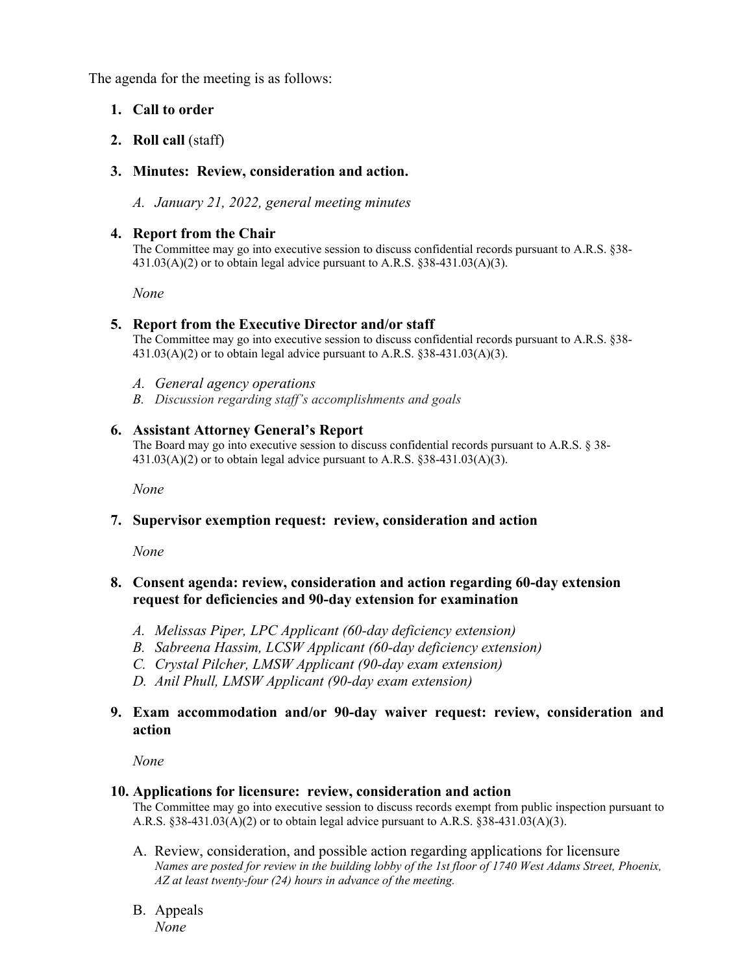The agenda for the meeting is as follows:

# **1. Call to order**

**2. Roll call** (staff)

## **3. Minutes: Review, consideration and action.**

*A. January 21, 2022, general meeting minutes* 

## **4. Report from the Chair**

The Committee may go into executive session to discuss confidential records pursuant to A.R.S. §38-  $431.03(A)(2)$  or to obtain legal advice pursuant to A.R.S. §38-431.03(A)(3).

 *None* 

#### **5. Report from the Executive Director and/or staff**

The Committee may go into executive session to discuss confidential records pursuant to A.R.S. §38-  $431.03(A)(2)$  or to obtain legal advice pursuant to A.R.S. §38-431.03(A)(3).

- *A. General agency operations*
- *B. Discussion regarding staff's accomplishments and goals*

#### **6. Assistant Attorney General's Report**

The Board may go into executive session to discuss confidential records pursuant to A.R.S. § 38-431.03(A)(2) or to obtain legal advice pursuant to A.R.S. §38-431.03(A)(3).

 *None* 

## **7. Supervisor exemption request: review, consideration and action**

*None* 

### **8. Consent agenda: review, consideration and action regarding 60-day extension request for deficiencies and 90-day extension for examination**

- *A. Melissas Piper, LPC Applicant (60-day deficiency extension)*
- *B. Sabreena Hassim, LCSW Applicant (60-day deficiency extension)*
- *C. Crystal Pilcher, LMSW Applicant (90-day exam extension)*
- *D. Anil Phull, LMSW Applicant (90-day exam extension)*

## **9. Exam accommodation and/or 90-day waiver request: review, consideration and action**

*None* 

#### **10. Applications for licensure: review, consideration and action**

The Committee may go into executive session to discuss records exempt from public inspection pursuant to A.R.S.  $§38-431.03(A)(2)$  or to obtain legal advice pursuant to A.R.S.  $§38-431.03(A)(3)$ .

- A. Review, consideration, and possible action regarding applications for licensure  *Names are posted for review in the building lobby of the 1st floor of 1740 West Adams Street, Phoenix, AZ at least twenty-four (24) hours in advance of the meeting.*
- B. Appeals *None*